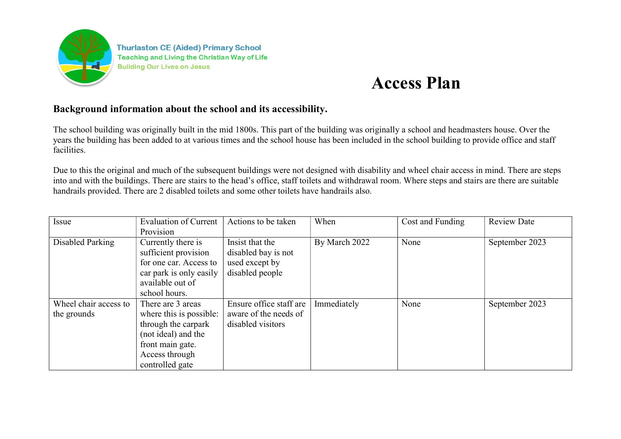

**Thurlaston CE (Aided) Primary School** Teaching and Living the Christian Way of Life **Building Our Lives on Jesus** 

## Access Plan

## Background information about the school and its accessibility.

The school building was originally built in the mid 1800s. This part of the building was originally a school and headmasters house. Over the years the building has been added to at various times and the school house has been included in the school building to provide office and staff facilities.

Due to this the original and much of the subsequent buildings were not designed with disability and wheel chair access in mind. There are steps into and with the buildings. There are stairs to the head's office, staff toilets and withdrawal room. Where steps and stairs are there are suitable handrails provided. There are 2 disabled toilets and some other toilets have handrails also.

| Issue                 | <b>Evaluation of Current</b> | Actions to be taken     | When          | Cost and Funding | <b>Review Date</b> |
|-----------------------|------------------------------|-------------------------|---------------|------------------|--------------------|
|                       | Provision                    |                         |               |                  |                    |
| Disabled Parking      | Currently there is           | Insist that the         | By March 2022 | None             | September 2023     |
|                       | sufficient provision         | disabled bay is not     |               |                  |                    |
|                       | for one car. Access to       | used except by          |               |                  |                    |
|                       | car park is only easily      | disabled people         |               |                  |                    |
|                       | available out of             |                         |               |                  |                    |
|                       | school hours.                |                         |               |                  |                    |
| Wheel chair access to | There are 3 areas            | Ensure office staff are | Immediately   | None             | September 2023     |
| the grounds           | where this is possible:      | aware of the needs of   |               |                  |                    |
|                       | through the carpark          | disabled visitors       |               |                  |                    |
|                       | (not ideal) and the          |                         |               |                  |                    |
|                       | front main gate.             |                         |               |                  |                    |
|                       | Access through               |                         |               |                  |                    |
|                       | controlled gate              |                         |               |                  |                    |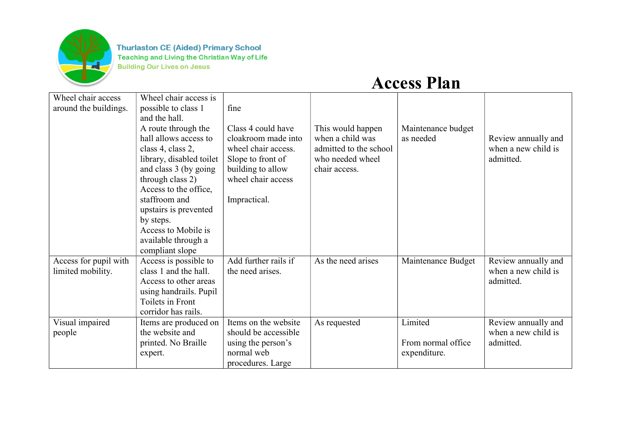

**Thurlaston CE (Aided) Primary School Teaching and Living the Christian Way of Life Building Our Lives on Jesus** 

Access Plan

| Wheel chair access<br>around the buildings. | Wheel chair access is<br>possible to class 1 | fine                 |                        |                    |                     |
|---------------------------------------------|----------------------------------------------|----------------------|------------------------|--------------------|---------------------|
|                                             | and the hall.                                |                      |                        |                    |                     |
|                                             | A route through the                          | Class 4 could have   | This would happen      | Maintenance budget |                     |
|                                             | hall allows access to                        | cloakroom made into  | when a child was       | as needed          | Review annually and |
|                                             | class 4, class 2,                            | wheel chair access.  | admitted to the school |                    | when a new child is |
|                                             | library, disabled toilet                     | Slope to front of    | who needed wheel       |                    | admitted.           |
|                                             | and class 3 (by going                        | building to allow    | chair access.          |                    |                     |
|                                             | through class 2)                             | wheel chair access   |                        |                    |                     |
|                                             | Access to the office,                        |                      |                        |                    |                     |
|                                             | staffroom and                                | Impractical.         |                        |                    |                     |
|                                             | upstairs is prevented                        |                      |                        |                    |                     |
|                                             | by steps.                                    |                      |                        |                    |                     |
|                                             | Access to Mobile is                          |                      |                        |                    |                     |
|                                             | available through a                          |                      |                        |                    |                     |
|                                             | compliant slope                              |                      |                        |                    |                     |
| Access for pupil with                       | Access is possible to                        | Add further rails if | As the need arises     | Maintenance Budget | Review annually and |
| limited mobility.                           | class 1 and the hall.                        | the need arises.     |                        |                    | when a new child is |
|                                             | Access to other areas                        |                      |                        |                    | admitted.           |
|                                             | using handrails. Pupil                       |                      |                        |                    |                     |
|                                             | Toilets in Front                             |                      |                        |                    |                     |
|                                             | corridor has rails.                          |                      |                        |                    |                     |
| Visual impaired                             | Items are produced on                        | Items on the website | As requested           | Limited            | Review annually and |
| people                                      | the website and                              | should be accessible |                        |                    | when a new child is |
|                                             | printed. No Braille                          | using the person's   |                        | From normal office | admitted.           |
|                                             | expert.                                      | normal web           |                        | expenditure.       |                     |
|                                             |                                              | procedures. Large    |                        |                    |                     |